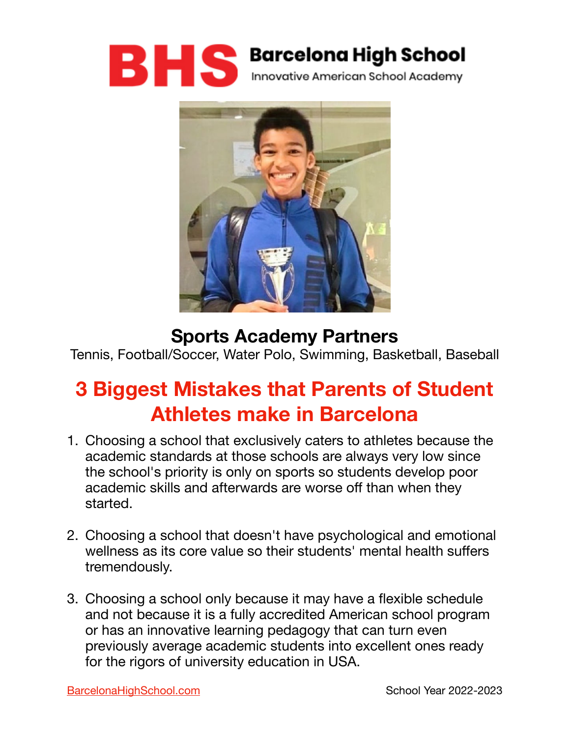



### **Sports Academy Partners**

Tennis, Football/Soccer, Water Polo, Swimming, Basketball, Baseball

# **3 Biggest Mistakes that Parents of Student Athletes make in Barcelona**

- 1. Choosing a school that exclusively caters to athletes because the academic standards at those schools are always very low since the school's priority is only on sports so students develop poor academic skills and afterwards are worse off than when they started.
- 2. Choosing a school that doesn't have psychological and emotional wellness as its core value so their students' mental health suffers tremendously.
- 3. Choosing a school only because it may have a flexible schedule and not because it is a fully accredited American school program or has an innovative learning pedagogy that can turn even previously average academic students into excellent ones ready for the rigors of university education in USA.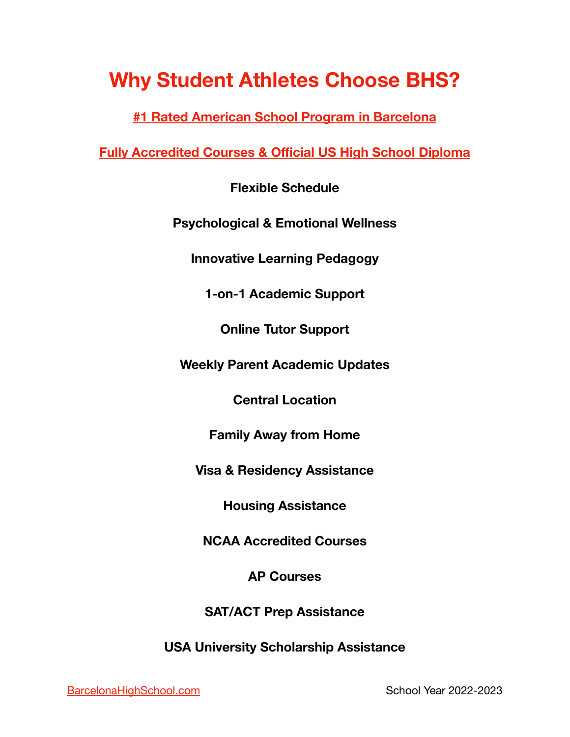## **Why Student Athletes Choose BHS?**

**[#1 Rated American School Program in Barcelona](https://bcn-life.com/expats-in-barcelona/f/best-secondary-american-schools-in-barcelona)** 

**[Fully Accredited Courses & O](https://www.barcelonahighschool.com/american-school-accreditation)fficial US High School Diploma** 

**Flexible Schedule** 

**Psychological & Emotional Wellness**

**Innovative Learning Pedagogy** 

**1-on-1 Academic Support** 

**Online Tutor Support** 

**Weekly Parent Academic Updates** 

**Central Location** 

**Family Away from Home** 

**Visa & Residency Assistance** 

**Housing Assistance** 

**NCAA Accredited Courses** 

**AP Courses** 

**SAT/ACT Prep Assistance** 

**USA University Scholarship Assistance**